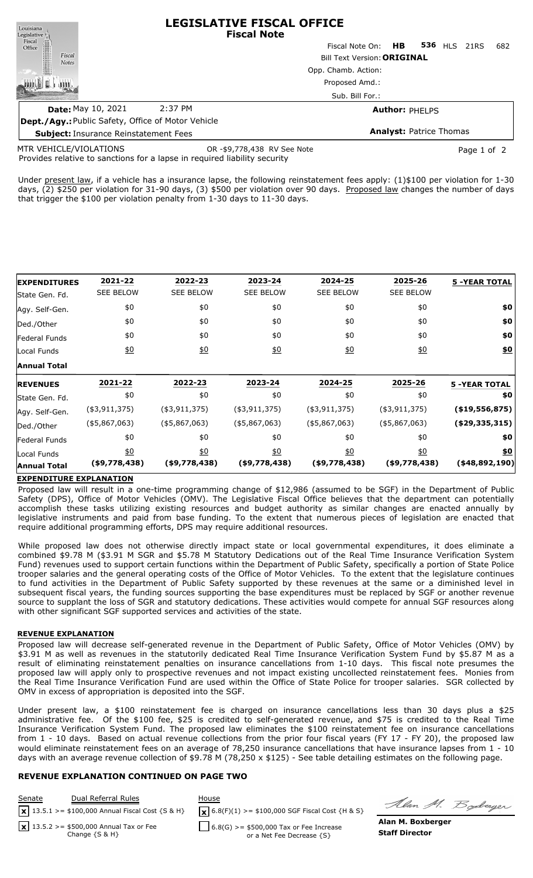| Louisiana                                                                   |                    | <b>LEGISLATIVE FISCAL OFFICE</b><br><b>Fiscal Note</b> |  |     |  |  |  |
|-----------------------------------------------------------------------------|--------------------|--------------------------------------------------------|--|-----|--|--|--|
|                                                                             |                    | Fiscal Note On: HB 536 HLS 21RS                        |  | 682 |  |  |  |
| Legislative <i>I</i> , Fiscal<br>Office<br>Office<br>Fiscal<br><b>Notes</b> |                    | <b>Bill Text Version: ORIGINAL</b>                     |  |     |  |  |  |
|                                                                             |                    | Opp. Chamb. Action:                                    |  |     |  |  |  |
|                                                                             |                    | Proposed Amd.:                                         |  |     |  |  |  |
|                                                                             |                    | Sub. Bill For.:                                        |  |     |  |  |  |
| <b>Date: May 10, 2021</b>                                                   | 2:37 PM            | <b>Author: PHELPS</b>                                  |  |     |  |  |  |
|                                                                             | <b>CALL 111111</b> |                                                        |  |     |  |  |  |

| <b>Dept./Agy.: Public Safety, Office of Motor Vehicle</b> |                             |                                |
|-----------------------------------------------------------|-----------------------------|--------------------------------|
| <b>Subject:</b> Insurance Reinstatement Fees              |                             | <b>Analyst:</b> Patrice Thomas |
| MTR VEHICLE/VIOLATIONS                                    | OR -\$9,778,438 RV See Note | Page 1 of 2                    |

Provides relative to sanctions for a lapse in required liability security MTR VEHICLE/VIOLATIONS

Under present law, if a vehicle has a insurance lapse, the following reinstatement fees apply: (1)\$100 per violation for 1-30 days, (2) \$250 per violation for 31-90 days, (3) \$500 per violation over 90 days. Proposed law changes the number of days that trigger the \$100 per violation penalty from 1-30 days to 11-30 days.

| <b>EXPENDITURES</b> | 2021-22          | 2022-23          | 2023-24          | 2024-25          | 2025-26          | <b>5 -YEAR TOTAL</b>  |
|---------------------|------------------|------------------|------------------|------------------|------------------|-----------------------|
| State Gen. Fd.      | <b>SEE BELOW</b> | <b>SEE BELOW</b> | <b>SEE BELOW</b> | <b>SEE BELOW</b> | <b>SEE BELOW</b> |                       |
| Agy. Self-Gen.      | \$0              | \$0              | \$0              | \$0              | \$0              | \$0                   |
| Ded./Other          | \$0              | \$0              | \$0              | \$0              | \$0              | \$0                   |
| Federal Funds       | \$0              | \$0              | \$0              | \$0              | \$0              | \$0                   |
| Local Funds         | $\underline{50}$ | 60               | 60               | 60               | $\underline{50}$ | $\underline{\$0}$     |
| <b>Annual Total</b> |                  |                  |                  |                  |                  |                       |
| <b>REVENUES</b>     | 2021-22          | 2022-23          | 2023-24          | 2024-25          | 2025-26          | <b>5 -YEAR TOTAL</b>  |
| State Gen. Fd.      | \$0              | \$0              | \$0              | \$0              | \$0              | \$0                   |
| Agy. Self-Gen.      | $(*3,911,375)$   | $(*3,911,375)$   | $(*3,911,375)$   | $($ \$3,911,375) | $($ \$3,911,375) | $($ \$19,556,875) $ $ |
| Ded./Other          | $(*5,867,063)$   | $($ \$5,867,063) | $(*5,867,063)$   | (45,867,063)     | $(*5,867,063)$   | $($ \$29,335,315)     |
| Federal Funds       | \$0              | \$0              | \$0              | \$0              | \$0              | \$0                   |
| Local Funds         | $\underline{50}$ | $\underline{40}$ | $\underline{50}$ | $\underline{40}$ | $\underline{50}$ | \$0                   |
| <b>Annual Total</b> | (\$9,778,438)    | (\$9,778,438)    | (\$9,778,438)    | (\$9,778,438)    | (\$9,778,438)    | $($ \$48,892,190)     |

# **EXPENDITURE EXPLANATION**

Proposed law will result in a one-time programming change of \$12,986 (assumed to be SGF) in the Department of Public Safety (DPS), Office of Motor Vehicles (OMV). The Legislative Fiscal Office believes that the department can potentially accomplish these tasks utilizing existing resources and budget authority as similar changes are enacted annually by legislative instruments and paid from base funding. To the extent that numerous pieces of legislation are enacted that require additional programming efforts, DPS may require additional resources.

While proposed law does not otherwise directly impact state or local governmental expenditures, it does eliminate a combined \$9.78 M (\$3.91 M SGR and \$5.78 M Statutory Dedications out of the Real Time Insurance Verification System Fund) revenues used to support certain functions within the Department of Public Safety, specifically a portion of State Police trooper salaries and the general operating costs of the Office of Motor Vehicles. To the extent that the legislature continues to fund activities in the Department of Public Safety supported by these revenues at the same or a diminished level in subsequent fiscal years, the funding sources supporting the base expenditures must be replaced by SGF or another revenue source to supplant the loss of SGR and statutory dedications. These activities would compete for annual SGF resources along with other significant SGF supported services and activities of the state.

# **REVENUE EXPLANATION**

Proposed law will decrease self-generated revenue in the Department of Public Safety, Office of Motor Vehicles (OMV) by \$3.91 M as well as revenues in the statutorily dedicated Real Time Insurance Verification System Fund by \$5.87 M as a result of eliminating reinstatement penalties on insurance cancellations from 1-10 days. This fiscal note presumes the proposed law will apply only to prospective revenues and not impact existing uncollected reinstatement fees. Monies from the Real Time Insurance Verification Fund are used within the Office of State Police for trooper salaries. SGR collected by OMV in excess of appropriation is deposited into the SGF.

Under present law, a \$100 reinstatement fee is charged on insurance cancellations less than 30 days plus a \$25 administrative fee. Of the \$100 fee, \$25 is credited to self-generated revenue, and \$75 is credited to the Real Time Insurance Verification System Fund. The proposed law eliminates the \$100 reinstatement fee on insurance cancellations from 1 - 10 days. Based on actual revenue collections from the prior four fiscal years (FY 17 - FY 20), the proposed law would eliminate reinstatement fees on an average of 78,250 insurance cancellations that have insurance lapses from 1 - 10 days with an average revenue collection of \$9.78 M (78,250 x \$125) - See table detailing estimates on the following page.

# **REVENUE EXPLANATION CONTINUED ON PAGE TWO**

Senate Dual Referral Rules House  $\mathbf{x}$  13.5.1 > = \$100,000 Annual Fiscal Cost {S & H}

13.5.2 >= \$500,000 Annual Tax or Fee **x**

Change {S & H}

13.5.1 >= \$100,000 Annual Fiscal Cost {S & H} **(x)**  $6.8(F)(1)$  >= \$100,000 SGF Fiscal Cost {H & S}

Alan M. Boderger

 $6.8(G)$  > = \$500,000 Tax or Fee Increase or a Net Fee Decrease {S}

**Alan M. Boxberger Staff Director**